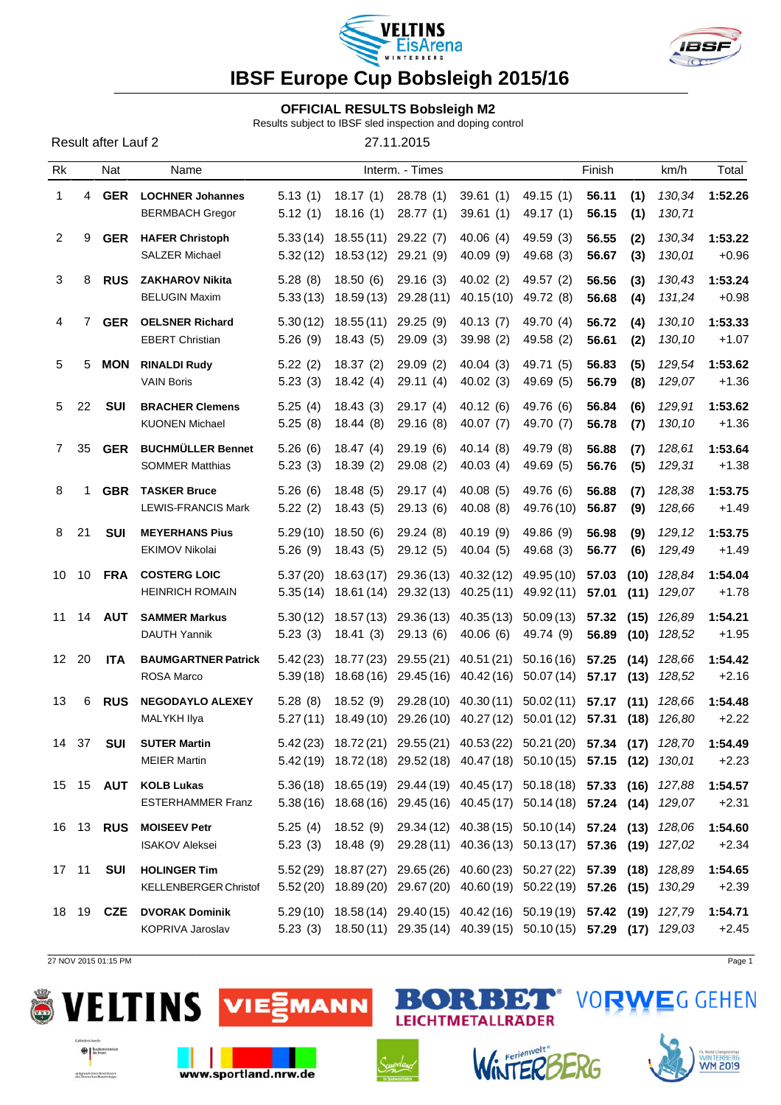



### **OFFICIAL RESULTS Bobsleigh M2**

Results subject to IBSF sled inspection and doping control

| Result after Lauf 2 |  |  |
|---------------------|--|--|
|---------------------|--|--|

27.11.2015

| Rk              |    | Nat                 | Name                                                |                      |                         | Interm. - Times          |                                                                                                                                                    |                          | Finish         |              | km/h             | Total              |
|-----------------|----|---------------------|-----------------------------------------------------|----------------------|-------------------------|--------------------------|----------------------------------------------------------------------------------------------------------------------------------------------------|--------------------------|----------------|--------------|------------------|--------------------|
| 1               | 4  | <b>GER</b>          | <b>LOCHNER Johannes</b><br><b>BERMBACH Gregor</b>   | 5.13(1)<br>5.12(1)   | 18.17(1)<br>18.16(1)    | 28.78(1)<br>28.77(1)     | 39.61(1)<br>39.61(1)                                                                                                                               | 49.15(1)<br>49.17 (1)    | 56.11<br>56.15 | (1)<br>(1)   | 130,34<br>130,71 | 1:52.26            |
| $\overline{2}$  | 9  | <b>GER</b>          | <b>HAFER Christoph</b><br><b>SALZER Michael</b>     | 5.33(14)<br>5.32(12) | 18.55(11)<br>18.53(12)  | 29.22(7)<br>29.21 (9)    | 40.06(4)<br>40.09 (9)                                                                                                                              | 49.59 (3)<br>49.68 (3)   | 56.55<br>56.67 | (2)<br>(3)   | 130,34<br>130,01 | 1:53.22<br>$+0.96$ |
| 3               | 8  | <b>RUS</b>          | <b>ZAKHAROV Nikita</b><br><b>BELUGIN Maxim</b>      | 5.28(8)<br>5.33(13)  | 18.50(6)<br>18.59(13)   | 29.16(3)<br>29.28 (11)   | 40.02(2)<br>40.15(10)                                                                                                                              | 49.57 (2)<br>49.72 (8)   | 56.56<br>56.68 | (3)<br>(4)   | 130,43<br>131,24 | 1:53.24<br>$+0.98$ |
| $\overline{4}$  | 7  | <b>GER</b>          | <b>OELSNER Richard</b><br><b>EBERT Christian</b>    | 5.30(12)<br>5.26(9)  | 18.55(11)<br>18.43(5)   | 29.25(9)<br>29.09(3)     | 40.13(7)<br>39.98 (2)                                                                                                                              | 49.70 (4)<br>49.58 (2)   | 56.72<br>56.61 | (4)<br>(2)   | 130,10<br>130,10 | 1:53.33<br>$+1.07$ |
| 5               | 5  | <b>MON</b>          | <b>RINALDI Rudy</b><br><b>VAIN Boris</b>            | 5.22(2)<br>5.23(3)   | 18.37(2)<br>18.42(4)    | 29.09(2)<br>29.11 (4)    | 40.04(3)<br>40.02(3)                                                                                                                               | 49.71 (5)<br>49.69 (5)   | 56.83<br>56.79 | (5)<br>(8)   | 129,54<br>129,07 | 1:53.62<br>$+1.36$ |
| 5               | 22 | <b>SUI</b>          | <b>BRACHER Clemens</b><br><b>KUONEN Michael</b>     | 5.25(4)<br>5.25(8)   | 18.43(3)<br>18.44(8)    | 29.17(4)<br>29.16(8)     | 40.12(6)<br>40.07 (7)                                                                                                                              | 49.76 (6)<br>49.70 (7)   | 56.84<br>56.78 | (6)<br>(7)   | 129,91<br>130,10 | 1:53.62<br>$+1.36$ |
| 7               | 35 | <b>GER</b>          | <b>BUCHMÜLLER Bennet</b><br><b>SOMMER Matthias</b>  | 5.26(6)<br>5.23(3)   | 18.47(4)<br>18.39(2)    | 29.19(6)<br>29.08(2)     | 40.14(8)<br>40.03(4)                                                                                                                               | 49.79 (8)<br>49.69 (5)   | 56.88<br>56.76 | (7)<br>(5)   | 128,61<br>129,31 | 1:53.64<br>$+1.38$ |
| 8               | 1  | <b>GBR</b>          | <b>TASKER Bruce</b><br><b>LEWIS-FRANCIS Mark</b>    | 5.26(6)<br>5.22(2)   | 18.48(5)<br>18.43(5)    | 29.17 (4)<br>29.13 (6)   | 40.08(5)<br>40.08(8)                                                                                                                               | 49.76 (6)<br>49.76 (10)  | 56.88<br>56.87 | (7)<br>(9)   | 128,38<br>128,66 | 1:53.75<br>$+1.49$ |
| 8               | 21 | <b>SUI</b>          | <b>MEYERHANS Pius</b><br><b>EKIMOV Nikolai</b>      | 5.29(10)<br>5.26(9)  | 18.50(6)<br>18.43(5)    | 29.24(8)<br>29.12(5)     | 40.19 (9)<br>40.04 (5)                                                                                                                             | 49.86 (9)<br>49.68 (3)   | 56.98<br>56.77 | (9)<br>(6)   | 129,12<br>129,49 | 1:53.75<br>$+1.49$ |
| 10              | 10 | <b>FRA</b>          | <b>COSTERG LOIC</b><br><b>HEINRICH ROMAIN</b>       | 5.37(20)<br>5.35(14) | 18.63(17)<br>18.61 (14) | 29.36 (13)<br>29.32 (13) | 40.32(12)<br>40.25(11)                                                                                                                             | 49.95 (10)<br>49.92 (11) | 57.03<br>57.01 | (10)<br>(11) | 128,84<br>129,07 | 1:54.04<br>$+1.78$ |
| 11              | 14 | <b>AUT</b>          | <b>SAMMER Markus</b><br>DAUTH Yannik                | 5.30(12)<br>5.23(3)  | 18.57(13)<br>18.41(3)   | 29.36 (13)<br>29.13(6)   | 40.35(13)<br>40.06(6)                                                                                                                              | 50.09(13)<br>49.74 (9)   | 57.32<br>56.89 | (15)<br>(10) | 126,89<br>128,52 | 1:54.21<br>$+1.95$ |
| 12 <sup>2</sup> | 20 | <b>ITA</b>          | <b>BAUMGARTNER Patrick</b><br>ROSA Marco            | 5.42(23)<br>5.39(18) | 18.77 (23)<br>18.68(16) | 29.55 (21)<br>29.45 (16) | 40.51 (21)<br>40.42 (16)                                                                                                                           | 50.16(16)<br>50.07(14)   | 57.25<br>57.17 | (14)<br>(13) | 128,66<br>128,52 | 1:54.42<br>$+2.16$ |
| 13              | 6  | <b>RUS</b>          | <b>NEGODAYLO ALEXEY</b><br>MALYKH Ilya              | 5.28(8)<br>5.27(11)  | 18.52(9)<br>18.49(10)   | 29.28 (10)<br>29.26 (10) | 40.30(11)<br>40.27(12)                                                                                                                             | 50.02(11)<br>50.01 (12)  | 57.17<br>57.31 | (11)<br>(18) | 128,66<br>126,80 | 1:54.48<br>$+2.22$ |
| 14              | 37 | <b>SUI</b>          | <b>SUTER Martin</b><br><b>MEIER Martin</b>          |                      |                         |                          | 5.42 (23) 18.72 (21) 29.55 (21) 40.53 (22) 50.21 (20) 57.34 (17) 128,70<br>5.42 (19) 18.72 (18) 29.52 (18) 40.47 (18) 50.10 (15) 57.15 (12) 130,01 |                          |                |              |                  | 1:54.49<br>$+2.23$ |
|                 |    | 15    15 <b>AUT</b> | <b>KOLB Lukas</b><br><b>ESTERHAMMER Franz</b>       |                      |                         |                          | 5.36 (18) 18.65 (19) 29.44 (19) 40.45 (17) 50.18 (18) 57.33 (16)<br>5.38 (16) 18.68 (16) 29.45 (16) 40.45 (17) 50.14 (18) 57.24 (14) 129,07        |                          |                |              | 127,88           | 1:54.57<br>$+2.31$ |
|                 |    | 16 13 <b>RUS</b>    | <b>MOISEEV Petr</b><br><b>ISAKOV Aleksei</b>        | 5.25(4)<br>5.23(3)   | 18.48(9)                |                          | 18.52 (9) 29.34 (12) 40.38 (15) 50.10 (14) 57.24 (13)<br>29.28 (11) 40.36 (13) 50.13 (17) 57.36 (19) 127,02                                        |                          |                |              | 128,06           | 1:54.60<br>$+2.34$ |
| 17 11           |    | <b>SUI</b>          | <b>HOLINGER Tim</b><br><b>KELLENBERGER Christof</b> |                      |                         |                          | 5.52 (29) 18.87 (27) 29.65 (26) 40.60 (23) 50.27 (22) 57.39 (18)<br>5.52 (20) 18.89 (20) 29.67 (20) 40.60 (19) 50.22 (19) 57.26 (15)               |                          |                |              | 128,89<br>130,29 | 1:54.65<br>$+2.39$ |
|                 |    | 18 19 <b>CZE</b>    | <b>DVORAK Dominik</b><br>KOPRIVA Jaroslav           |                      |                         |                          | 5.29 (10) 18.58 (14) 29.40 (15) 40.42 (16) 50.19 (19) 57.42 (19)<br>5.23 (3) 18.50 (11) 29.35 (14) 40.39 (15) 50.10 (15) 57.29 (17) 129,03         |                          |                |              | 127,79           | 1:54.71<br>$+2.45$ |

27 NOV 2015 01:15 PM Page 1

aufgrund eines Beschlusses<br>des Deutschen Bundestages





www.sportland.nrw.de





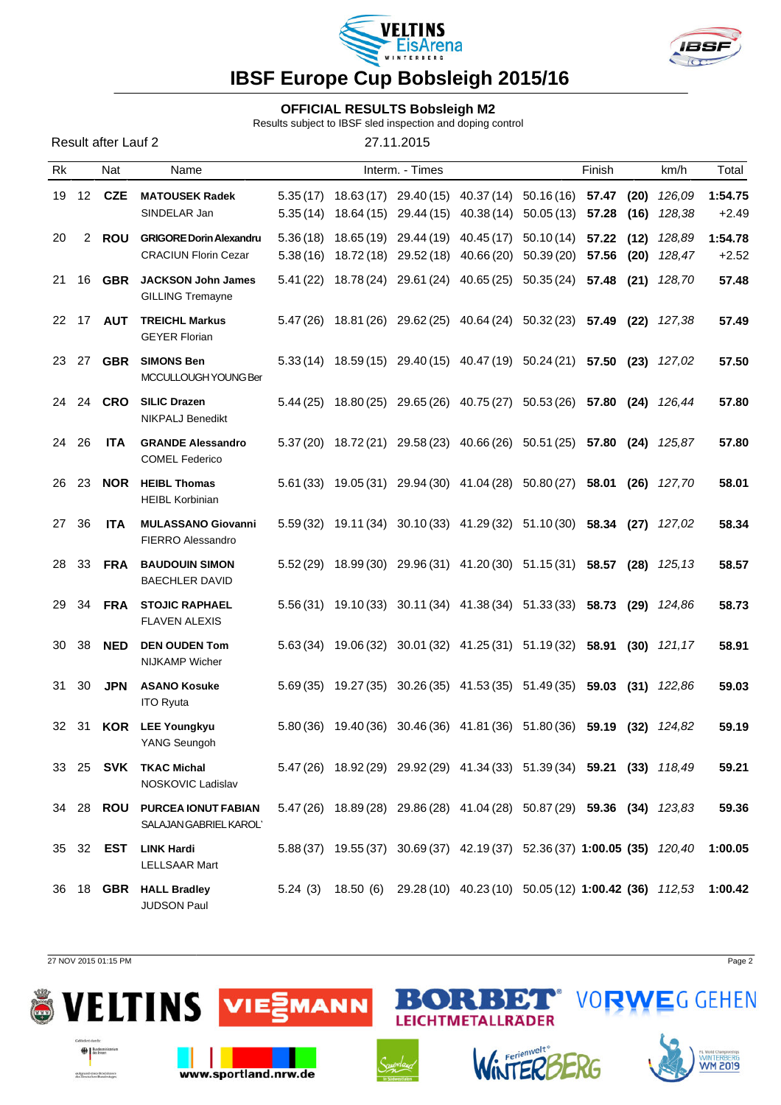



### **OFFICIAL RESULTS Bobsleigh M2**

Results subject to IBSF sled inspection and doping control

| Result after Lauf 2 |  |  |
|---------------------|--|--|
|                     |  |  |

27.11.2015

| Rk |       | Nat              | Name                                                          |                      |                          | Interm. - Times                                                                 |                                               |                        | Finish         |              | km/h                     | Total              |
|----|-------|------------------|---------------------------------------------------------------|----------------------|--------------------------|---------------------------------------------------------------------------------|-----------------------------------------------|------------------------|----------------|--------------|--------------------------|--------------------|
| 19 | 12    | <b>CZE</b>       | <b>MATOUSEK Radek</b><br>SINDELAR Jan                         | 5.35(17)<br>5.35(14) | 18.63 (17)<br>18.64 (15) | 29.44 (15)                                                                      | 29.40 (15) 40.37 (14) 50.16 (16)<br>40.38(14) | 50.05(13)              | 57.47<br>57.28 | (20)<br>(16) | 126.09<br>128,38         | 1:54.75<br>$+2.49$ |
| 20 | 2     | <b>ROU</b>       | <b>GRIGORE Dorin Alexandru</b><br><b>CRACIUN Florin Cezar</b> | 5.36(18)<br>5.38(16) |                          | 18.65 (19) 29.44 (19)<br>18.72 (18) 29.52 (18)                                  | 40.45 (17)<br>40.66 (20)                      | 50.10(14)<br>50.39(20) | 57.22<br>57.56 | (12)<br>(20) | 128,89<br>128,47         | 1:54.78<br>$+2.52$ |
| 21 | 16    | <b>GBR</b>       | <b>JACKSON John James</b><br><b>GILLING Tremayne</b>          | 5.41(22)             |                          | 18.78 (24) 29.61 (24) 40.65 (25)                                                |                                               | $50.35(24)$ 57.48      |                | (21)         | 128,70                   | 57.48              |
| 22 | 17    | <b>AUT</b>       | <b>TREICHL Markus</b><br><b>GEYER Florian</b>                 | 5.47 (26)            |                          | 18.81 (26) 29.62 (25) 40.64 (24) 50.32 (23) 57.49 (22)                          |                                               |                        |                |              | 127,38                   | 57.49              |
| 23 | 27    | <b>GBR</b>       | <b>SIMONS Ben</b><br>MCCULLOUGH YOUNG Ber                     |                      |                          | 5.33 (14) 18.59 (15) 29.40 (15) 40.47 (19) 50.24 (21) 57.50 (23) 127,02         |                                               |                        |                |              |                          | 57.50              |
| 24 | 24    | <b>CRO</b>       | <b>SILIC Drazen</b><br><b>NIKPALJ Benedikt</b>                | 5.44(25)             | 18.80 (25)               |                                                                                 | 29.65 (26) 40.75 (27)                         | 50.53 (26) 57.80       |                | (24)         | 126,44                   | 57.80              |
| 24 | 26    | <b>ITA</b>       | <b>GRANDE Alessandro</b><br><b>COMEL Federico</b>             | 5.37(20)             |                          | 18.72 (21) 29.58 (23) 40.66 (26) 50.51 (25)                                     |                                               |                        | 57.80 (24)     |              | 125,87                   | 57.80              |
| 26 | -23   | <b>NOR</b>       | <b>HEIBL Thomas</b><br><b>HEIBL Korbinian</b>                 |                      |                          | $5.61(33)$ $19.05(31)$ $29.94(30)$ $41.04(28)$ $50.80(27)$ <b>58.01</b>         |                                               |                        |                |              | $(26)$ 127,70            | 58.01              |
| 27 | 36    | <b>ITA</b>       | <b>MULASSANO Giovanni</b><br><b>FIERRO Alessandro</b>         | 5.59(32)             | 19.11 (34)               |                                                                                 | 30.10 (33) 41.29 (32) 51.10 (30) 58.34 (27)   |                        |                |              | 127,02                   | 58.34              |
| 28 | 33    | <b>FRA</b>       | <b>BAUDOUIN SIMON</b><br><b>BAECHLER DAVID</b>                |                      |                          | 5.52 (29) 18.99 (30) 29.96 (31) 41.20 (30) 51.15 (31) 58.57 (28) 125,13         |                                               |                        |                |              |                          | 58.57              |
| 29 | 34    | <b>FRA</b>       | <b>STOJIC RAPHAEL</b><br><b>FLAVEN ALEXIS</b>                 |                      |                          | 5.56 (31) 19.10 (33) 30.11 (34) 41.38 (34) 51.33 (33) 58.73 (29) 124,86         |                                               |                        |                |              |                          | 58.73              |
| 30 | 38    | <b>NED</b>       | <b>DEN OUDEN Tom</b><br><b>NIJKAMP Wicher</b>                 |                      | $5.63(34)$ 19.06 (32)    |                                                                                 | 30.01 (32) 41.25 (31) 51.19 (32) 58.91        |                        |                | (30)         | 121,17                   | 58.91              |
| 31 | 30    | <b>JPN</b>       | <b>ASANO Kosuke</b><br><b>ITO Ryuta</b>                       | 5.69(35)             | 19.27 (35)               |                                                                                 | 30.26 (35) 41.53 (35) 51.49 (35)              |                        |                |              | <b>59.03 (31)</b> 122,86 | 59.03              |
| 32 | -31   | <b>KOR</b>       | <b>LEE Youngkyu</b><br>YANG Seungoh                           | 5.80(36)             | 19.40 (36)               |                                                                                 | 30.46 (36) 41.81 (36) 51.80 (36) 59.19 (32)   |                        |                |              | 124,82                   | 59.19              |
|    |       |                  | 33 25 SVK TKAC Michal<br>NOSKOVIC Ladislav                    |                      |                          | 5.47 (26) 18.92 (29) 29.92 (29) 41.34 (33) 51.39 (34) 59.21 (33) 118,49         |                                               |                        |                |              |                          | 59.21              |
|    | 34 28 | <b>ROU</b>       | <b>PURCEA IONUT FABIAN</b><br>SALAJAN GABRIEL KAROL'          |                      |                          | 5.47 (26) 18.89 (28) 29.86 (28) 41.04 (28) 50.87 (29) 59.36 (34) 123,83         |                                               |                        |                |              |                          | 59.36              |
|    |       | 35 32 <b>EST</b> | <b>LINK Hardi</b><br><b>LELLSAAR Mart</b>                     |                      |                          | 5.88 (37) 19.55 (37) 30.69 (37) 42.19 (37) 52.36 (37) 1:00.05 (35) 120,40       |                                               |                        |                |              |                          | 1:00.05            |
| 36 |       |                  | 18 GBR HALL Bradley<br><b>JUDSON Paul</b>                     |                      |                          | 5.24 (3) 18.50 (6) 29.28 (10) 40.23 (10) 50.05 (12) 1:00.42 (36) 112,53 1:00.42 |                                               |                        |                |              |                          |                    |

27 NOV 2015 01:15 PM Page 2

aufgrund eines Beschlusses<br>des Deutschen Bundestages

LTINS





www.sportland.nrw.de





**BORBET** VORWEG GEHEN

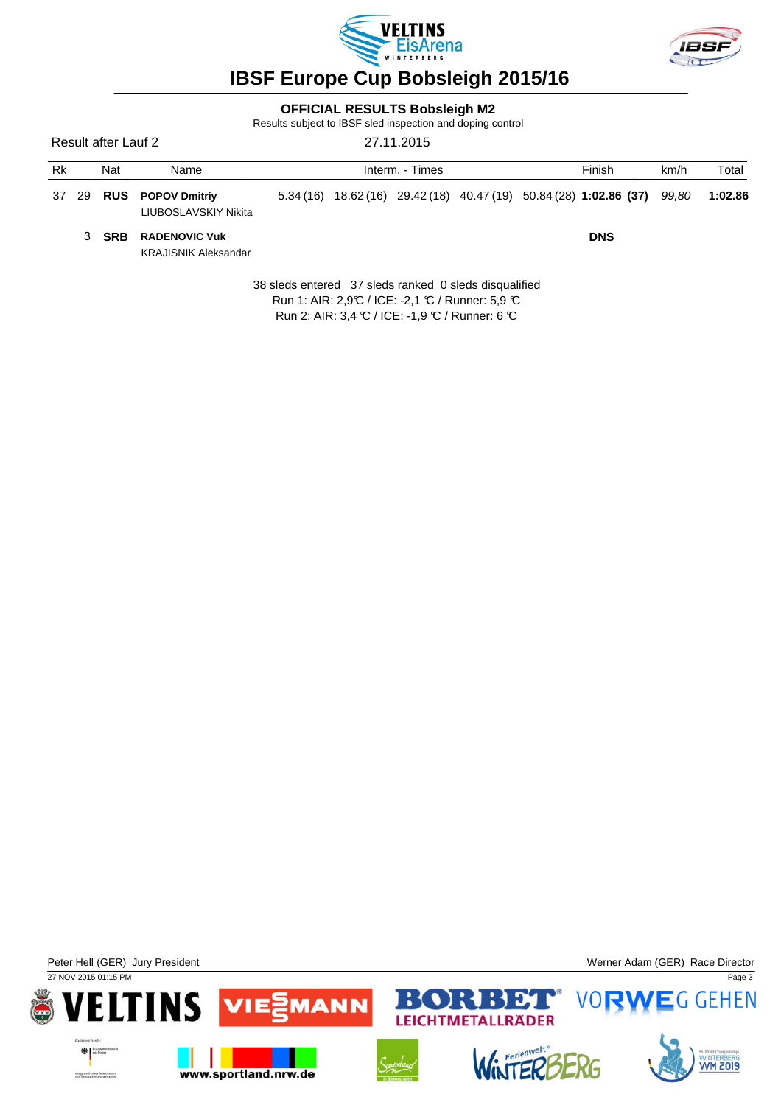



### **OFFICIAL RESULTS Bobsleigh M2**

Results subject to IBSF sled inspection and doping control

Result after Lauf 2 27.11.2015

| Rk | Nat   | Name                                                |  | Interm. - Times |  | Finish                                                                   | km/h | Total   |
|----|-------|-----------------------------------------------------|--|-----------------|--|--------------------------------------------------------------------------|------|---------|
|    |       | 37 29 RUS POPOV Dmitriy<br>LIUBOSLAVSKIY Nikita     |  |                 |  | 5.34 (16) 18.62 (16) 29.42 (18) 40.47 (19) 50.84 (28) 1:02.86 (37) 99,80 |      | 1:02.86 |
|    | 3 SRB | <b>RADENOVIC Vuk</b><br><b>KRAJISNIK Aleksandar</b> |  |                 |  | <b>DNS</b>                                                               |      |         |

38 sleds entered 37 sleds ranked 0 sleds disqualified Run 1: AIR: 2,9°C / ICE: -2,1 °C / Runner: 5,9 °C Run 2: AIR: 3,4 ℃ / ICE: -1,9 ℃ / Runner: 6 ℃

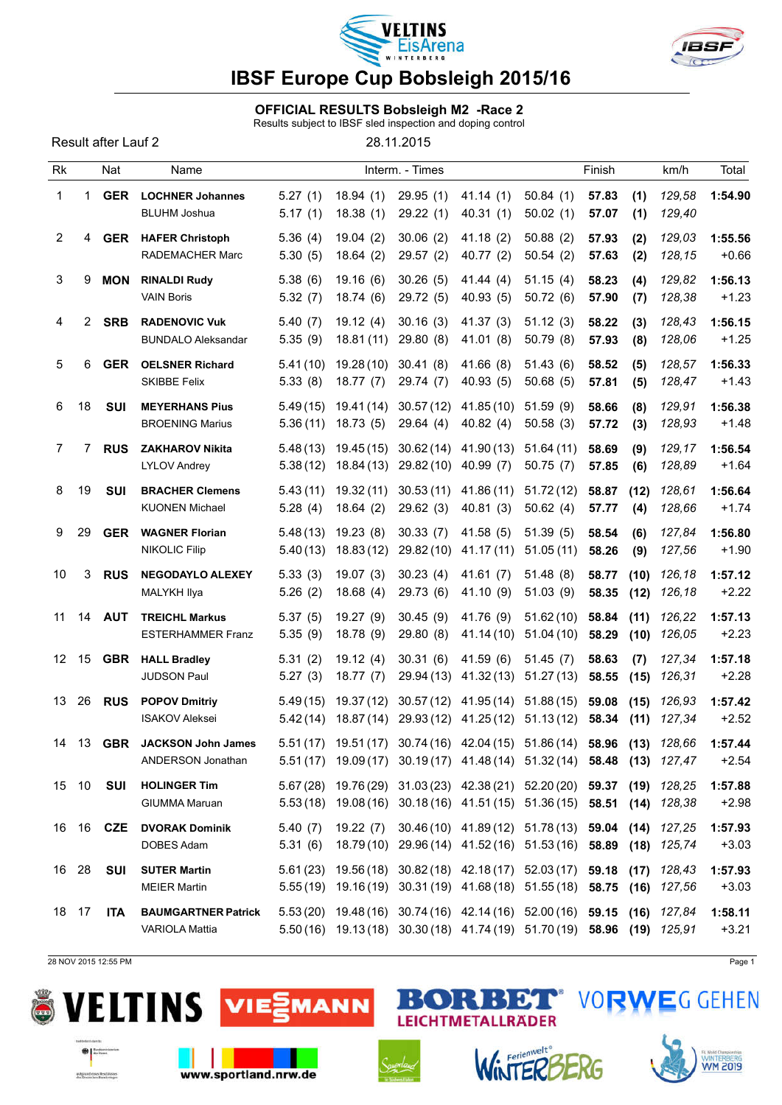



#### OFFICIAL RESULTS Bobsleigh M2 -Race 2

Results subject to IBSF sled inspection and doping control

Result after Lauf 2 28.11.2015

| <b>Rk</b>      |                | Nat              | Name                                                |                      |                         | Interm. - Times                   |                                                                                                                                                    |                        | Finish         |              | km/h             | Total              |
|----------------|----------------|------------------|-----------------------------------------------------|----------------------|-------------------------|-----------------------------------|----------------------------------------------------------------------------------------------------------------------------------------------------|------------------------|----------------|--------------|------------------|--------------------|
| $\mathbf{1}$   | 1              | <b>GER</b>       | <b>LOCHNER Johannes</b><br><b>BLUHM Joshua</b>      | 5.27(1)<br>5.17(1)   | 18.94(1)<br>18.38(1)    | 29.95(1)<br>29.22(1)              | 41.14(1)<br>40.31(1)                                                                                                                               | 50.84(1)<br>50.02(1)   | 57.83<br>57.07 | (1)<br>(1)   | 129,58<br>129,40 | 1:54.90            |
| 2              | 4              | <b>GER</b>       | <b>HAFER Christoph</b><br><b>RADEMACHER Marc</b>    | 5.36(4)<br>5.30(5)   | 19.04(2)<br>18.64(2)    | 30.06(2)<br>29.57(2)              | 41.18(2)<br>40.77 (2)                                                                                                                              | 50.88(2)<br>50.54(2)   | 57.93<br>57.63 | (2)<br>(2)   | 129,03<br>128,15 | 1:55.56<br>$+0.66$ |
| 3              | 9              | <b>MON</b>       | <b>RINALDI Rudy</b><br><b>VAIN Boris</b>            | 5.38(6)<br>5.32(7)   | 19.16(6)<br>18.74(6)    | 30.26(5)<br>29.72 (5)             | 41.44 (4)<br>40.93 (5)                                                                                                                             | 51.15(4)<br>50.72(6)   | 58.23<br>57.90 | (4)<br>(7)   | 129,82<br>128,38 | 1:56.13<br>$+1.23$ |
| 4              | $\overline{2}$ | <b>SRB</b>       | <b>RADENOVIC Vuk</b><br><b>BUNDALO Aleksandar</b>   | 5.40(7)<br>5.35(9)   | 19.12(4)<br>18.81(11)   | 30.16(3)<br>29.80(8)              | 41.37 (3)<br>41.01 (8)                                                                                                                             | 51.12(3)<br>50.79(8)   | 58.22<br>57.93 | (3)<br>(8)   | 128,43<br>128,06 | 1:56.15<br>$+1.25$ |
| 5              | 6              | <b>GER</b>       | <b>OELSNER Richard</b><br><b>SKIBBE Felix</b>       | 5.41(10)<br>5.33(8)  | 19.28(10)<br>18.77(7)   | 30.41(8)<br>29.74 (7)             | 41.66 (8)<br>40.93(5)                                                                                                                              | 51.43(6)<br>50.68(5)   | 58.52<br>57.81 | (5)<br>(5)   | 128,57<br>128,47 | 1:56.33<br>$+1.43$ |
| 6              | 18             | <b>SUI</b>       | <b>MEYERHANS Pius</b><br><b>BROENING Marius</b>     | 5.49(15)<br>5.36(11) | 19.41 (14)<br>18.73(5)  | 30.57(12)<br>29.64(4)             | 41.85 (10)<br>40.82(4)                                                                                                                             | 51.59(9)<br>50.58(3)   | 58.66<br>57.72 | (8)<br>(3)   | 129,91<br>128,93 | 1:56.38<br>$+1.48$ |
| $\overline{7}$ | 7              | <b>RUS</b>       | <b>ZAKHAROV Nikita</b><br><b>LYLOV Andrey</b>       | 5.48(13)<br>5.38(12) | 19.45 (15)<br>18.84(13) | 30.62(14)<br>29.82 (10) 40.99 (7) | 41.90 (13)                                                                                                                                         | 51.64(11)<br>50.75(7)  | 58.69<br>57.85 | (9)<br>(6)   | 129,17<br>128,89 | 1:56.54<br>$+1.64$ |
| 8              | 19             | <b>SUI</b>       | <b>BRACHER Clemens</b><br><b>KUONEN Michael</b>     | 5.43(11)<br>5.28(4)  | 19.32 (11)<br>18.64(2)  | 30.53(11)<br>29.62(3)             | 41.86 (11)<br>40.81(3)                                                                                                                             | 51.72(12)<br>50.62(4)  | 58.87<br>57.77 | (12)<br>(4)  | 128,61<br>128,66 | 1:56.64<br>$+1.74$ |
| 9              | 29             | <b>GER</b>       | <b>WAGNER Florian</b><br><b>NIKOLIC Filip</b>       | 5.48(13)<br>5.40(13) | 19.23(8)<br>18.83(12)   | 30.33(7)<br>29.82 (10)            | 41.58 (5)<br>41.17 (11)                                                                                                                            | 51.39(5)<br>51.05(11)  | 58.54<br>58.26 | (6)<br>(9)   | 127,84<br>127,56 | 1:56.80<br>$+1.90$ |
| 10             | 3              | <b>RUS</b>       | <b>NEGODAYLO ALEXEY</b><br>MALYKH Ilya              | 5.33(3)<br>5.26(2)   | 19.07(3)<br>18.68(4)    | 30.23(4)<br>29.73 (6)             | 41.61(7)<br>41.10 (9)                                                                                                                              | 51.48(8)<br>51.03(9)   | 58.77<br>58.35 | (10)<br>(12) | 126,18<br>126,18 | 1:57.12<br>$+2.22$ |
| 11             | 14             | <b>AUT</b>       | <b>TREICHL Markus</b><br><b>ESTERHAMMER Franz</b>   | 5.37(5)<br>5.35(9)   | 19.27(9)<br>18.78 (9)   | 30.45(9)<br>29.80(8)              | 41.76 (9)<br>41.14 (10)                                                                                                                            | 51.62(10)<br>51.04(10) | 58.84<br>58.29 | (11)<br>(10) | 126,22<br>126,05 | 1:57.13<br>$+2.23$ |
| 12             | 15             | <b>GBR</b>       | <b>HALL Bradley</b><br>JUDSON Paul                  | 5.31(2)<br>5.27(3)   | 19.12(4)<br>18.77(7)    | 30.31(6)<br>29.94 (13)            | 41.59 (6)<br>41.32(13)                                                                                                                             | 51.45(7)<br>51.27(13)  | 58.63<br>58.55 | (7)<br>(15)  | 127,34<br>126,31 | 1:57.18<br>$+2.28$ |
| 13             | 26             | <b>RUS</b>       | <b>POPOV Dmitriy</b><br><b>ISAKOV Aleksei</b>       | 5.49(15)<br>5.42(14) | 19.37(12)<br>18.87(14)  | 30.57(12)<br>29.93 (12)           | 41.95 (14)<br>41.25 (12)                                                                                                                           | 51.88(15)<br>51.13(12) | 59.08<br>58.34 | (15)<br>(11) | 126,93<br>127,34 | 1:57.42<br>$+2.52$ |
| 14             | 13             | <b>GBR</b>       | <b>JACKSON John James</b><br>ANDERSON Jonathan      |                      |                         |                                   | 5.51 (17) 19.51 (17) 30.74 (16) 42.04 (15) 51.86 (14) 58.96 (13) 128,66<br>5.51 (17) 19.09 (17) 30.19 (17) 41.48 (14) 51.32 (14) 58.48 (13) 127,47 |                        |                |              |                  | 1:57.44<br>$+2.54$ |
|                | 15 10          | SUI              | <b>HOLINGER Tim</b><br>GIUMMA Maruan                |                      |                         |                                   | 5.67 (28) 19.76 (29) 31.03 (23) 42.38 (21) 52.20 (20) 59.37 (19) 128,25<br>5.53 (18) 19.08 (16) 30.18 (16) 41.51 (15) 51.36 (15) 58.51 (14) 128,38 |                        |                |              |                  | 1:57.88<br>$+2.98$ |
|                |                | 16 16 <b>CZE</b> | <b>DVORAK Dominik</b><br>DOBES Adam                 | 5.31(6)              |                         |                                   | 5.40 (7) 19.22 (7) 30.46 (10) 41.89 (12) 51.78 (13) 59.04 (14) 127,25<br>18.79(10) 29.96(14) 41.52(16) 51.53(16) 58.89 (18) 125,74                 |                        |                |              |                  | 1:57.93<br>$+3.03$ |
| 16 28          |                | SUI              | <b>SUTER Martin</b><br><b>MEIER Martin</b>          |                      |                         |                                   | 5.61 (23) 19.56 (18) 30.82 (18) 42.18 (17) 52.03 (17) 59.18 (17) 128,43<br>5.55(19) 19.16(19) 30.31(19) 41.68(18) 51.55(18) 58.75 (16) 127,56      |                        |                |              |                  | 1:57.93<br>$+3.03$ |
|                | 18 17          | <b>ITA</b>       | <b>BAUMGARTNER Patrick</b><br><b>VARIOLA Mattia</b> |                      |                         |                                   | 5.53 (20) 19.48 (16) 30.74 (16) 42.14 (16) 52.00 (16) 59.15 (16) 127,84<br>5.50(16) 19.13(18) 30.30(18) 41.74(19) 51.70(19) 58.96 (19) 125,91      |                        |                |              |                  | 1:58.11<br>$+3.21$ |

28 NOV 2015 12:55 PM Page 1

 $H$ 

autgrund eines Reschiussen<br>des Deutschen Barnbeinger

Ľ





www.sportland.nrw.de



 $\mathbb{R}^2$ 

 $\bullet$ D



RBET

LEICHTMETALLRÄDER



**VORWEG GEHEN**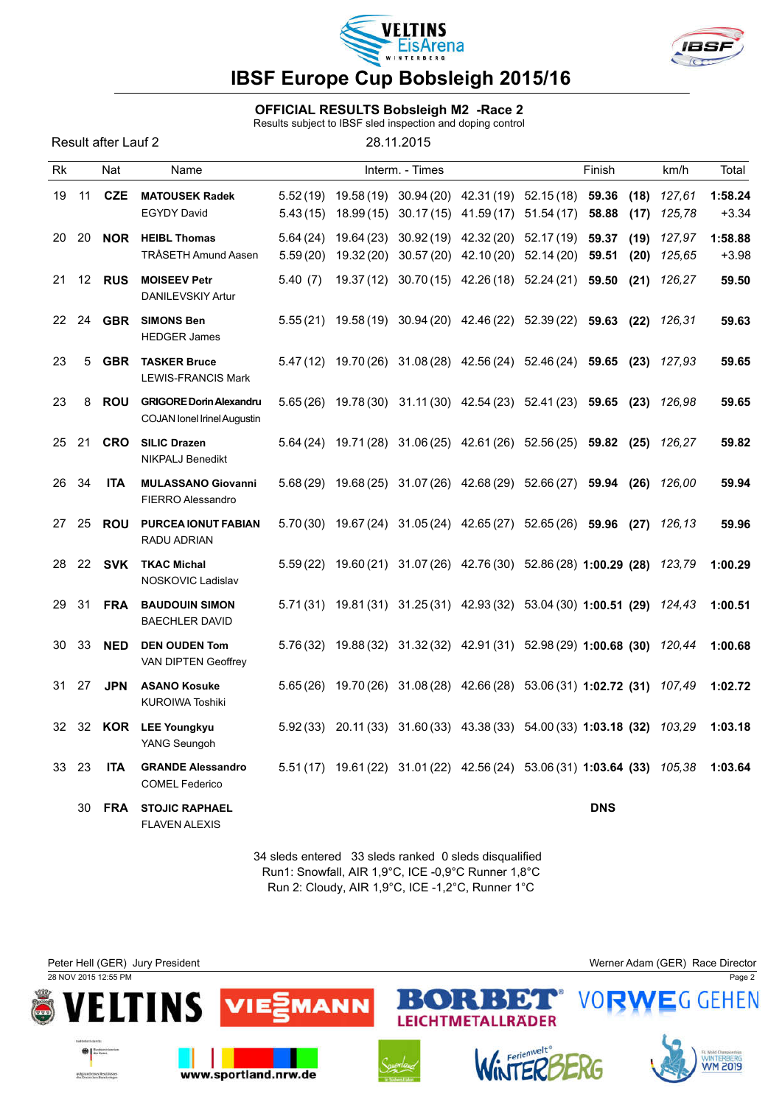



#### OFFICIAL RESULTS Bobsleigh M2 -Race 2

Results subject to IBSF sled inspection and doping control

|    |       | Result after Lauf 2 |                                                                      | Results subject to identified inspection and doping control |                 |                                                                                                                           |            |              |                  |                    |
|----|-------|---------------------|----------------------------------------------------------------------|-------------------------------------------------------------|-----------------|---------------------------------------------------------------------------------------------------------------------------|------------|--------------|------------------|--------------------|
| Rk |       | Nat                 | Name                                                                 |                                                             | Interm. - Times |                                                                                                                           | Finish     |              | km/h             | Total              |
| 19 | 11    | <b>CZE</b>          | <b>MATOUSEK Radek</b><br><b>EGYDY David</b>                          |                                                             |                 | 5.52 (19) 19.58 (19) 30.94 (20) 42.31 (19) 52.15 (18) 59.36<br>$5.43(15)$ $18.99(15)$ $30.17(15)$ $41.59(17)$ $51.54(17)$ | 58.88      | (18)<br>(17) | 127,61<br>125,78 | 1:58.24<br>$+3.34$ |
|    | 20 20 |                     | <b>NOR</b> HEIBL Thomas<br><b>TRÅSETH Amund Aasen</b>                | 5.64(24)<br>5.59(20)                                        |                 | 19.64 (23) 30.92 (19) 42.32 (20) 52.17 (19) 59.37<br>19.32 (20) 30.57 (20) 42.10 (20) 52.14 (20) 59.51                    |            | (19)<br>(20) | 127,97<br>125,65 | 1:58.88<br>$+3.98$ |
| 21 | 12    | <b>RUS</b>          | <b>MOISEEV Petr</b><br>DANILEVSKIY Artur                             | 5.40(7)                                                     |                 | 19.37(12) 30.70(15) 42.26(18) 52.24(21) 59.50 (21) 126,27                                                                 |            |              |                  | 59.50              |
|    | 22 24 | <b>GBR</b>          | <b>SIMONS Ben</b><br><b>HEDGER James</b>                             |                                                             |                 | 5.55 (21) 19.58 (19) 30.94 (20) 42.46 (22) 52.39 (22) 59.63 (22) 126,31                                                   |            |              |                  | 59.63              |
| 23 | 5     | <b>GBR</b>          | <b>TASKER Bruce</b><br><b>LEWIS-FRANCIS Mark</b>                     |                                                             |                 | 5.47 (12) 19.70 (26) 31.08 (28) 42.56 (24) 52.46 (24) 59.65 (23) 127,93                                                   |            |              |                  | 59.65              |
| 23 | 8     | <b>ROU</b>          | <b>GRIGORE Dorin Alexandru</b><br><b>COJAN lonel Irinel Augustin</b> |                                                             |                 | 5.65 (26) 19.78 (30) 31.11 (30) 42.54 (23) 52.41 (23) 59.65 (23) 126,98                                                   |            |              |                  | 59.65              |
|    | 25 21 | <b>CRO</b>          | <b>SILIC Drazen</b><br><b>NIKPALJ Benedikt</b>                       |                                                             |                 | 5.64 (24) 19.71 (28) 31.06 (25) 42.61 (26) 52.56 (25) 59.82 (25) 126,27                                                   |            |              |                  | 59.82              |
|    | 26 34 | <b>ITA</b>          | <b>MULASSANO Giovanni</b><br><b>FIERRO Alessandro</b>                |                                                             |                 | 5.68 (29) 19.68 (25) 31.07 (26) 42.68 (29) 52.66 (27) 59.94 (26) 126,00                                                   |            |              |                  | 59.94              |
| 27 | 25    | <b>ROU</b>          | <b>PURCEA IONUT FABIAN</b><br><b>RADU ADRIAN</b>                     |                                                             |                 | 5.70 (30) 19.67 (24) 31.05 (24) 42.65 (27) 52.65 (26) 59.96 (27) 126,13                                                   |            |              |                  | 59.96              |
| 28 | 22    | SVK                 | <b>TKAC Michal</b><br>NOSKOVIC Ladislav                              |                                                             |                 | 5.59 (22) 19.60 (21) 31.07 (26) 42.76 (30) 52.86 (28) 1:00.29 (28) 123,79                                                 |            |              |                  | 1:00.29            |
| 29 | 31    | <b>FRA</b>          | <b>BAUDOUIN SIMON</b><br><b>BAECHLER DAVID</b>                       |                                                             |                 | 5.71 (31) 19.81 (31) 31.25 (31) 42.93 (32) 53.04 (30) 1:00.51 (29) 124,43                                                 |            |              |                  | 1:00.51            |
| 30 | -33   | <b>NED</b>          | <b>DEN OUDEN Tom</b><br>VAN DIPTEN Geoffrey                          |                                                             |                 | 5.76 (32) 19.88 (32) 31.32 (32) 42.91 (31) 52.98 (29) 1:00.68 (30) 120,44                                                 |            |              |                  | 1:00.68            |
|    | 31 27 | <b>JPN</b>          | <b>ASANO Kosuke</b><br><b>KUROIWA Toshiki</b>                        |                                                             |                 | 5.65(26) 19.70(26) 31.08(28) 42.66(28) 53.06(31) 1:02.72 (31) 107,49                                                      |            |              |                  | 1:02.72            |
|    |       |                     | 32 32 KOR LEE Youngkyu<br>YANG Seungoh                               |                                                             |                 | 5.92 (33) 20.11 (33) 31.60 (33) 43.38 (33) 54.00 (33) 1:03.18 (32) 103,29                                                 |            |              |                  | 1:03.18            |
|    | 33 23 | <b>ITA</b>          | <b>GRANDE Alessandro</b><br><b>COMEL Federico</b>                    |                                                             |                 | 5.51 (17) 19.61 (22) 31.01 (22) 42.56 (24) 53.06 (31) 1:03.64 (33) 105,38                                                 |            |              |                  | 1:03.64            |
|    | 30    | <b>FRA</b>          | <b>STOJIC RAPHAEL</b>                                                |                                                             |                 |                                                                                                                           | <b>DNS</b> |              |                  |                    |

34 sleds entered 33 sleds ranked 0 sleds disqualified Run1: Snowfall, AIR 1,9°C, ICE -0,9°C Runner 1,8°C Run 2: Cloudy, AIR 1,9°C, ICE -1,2°C, Runner 1°C

FLAVEN ALEXIS

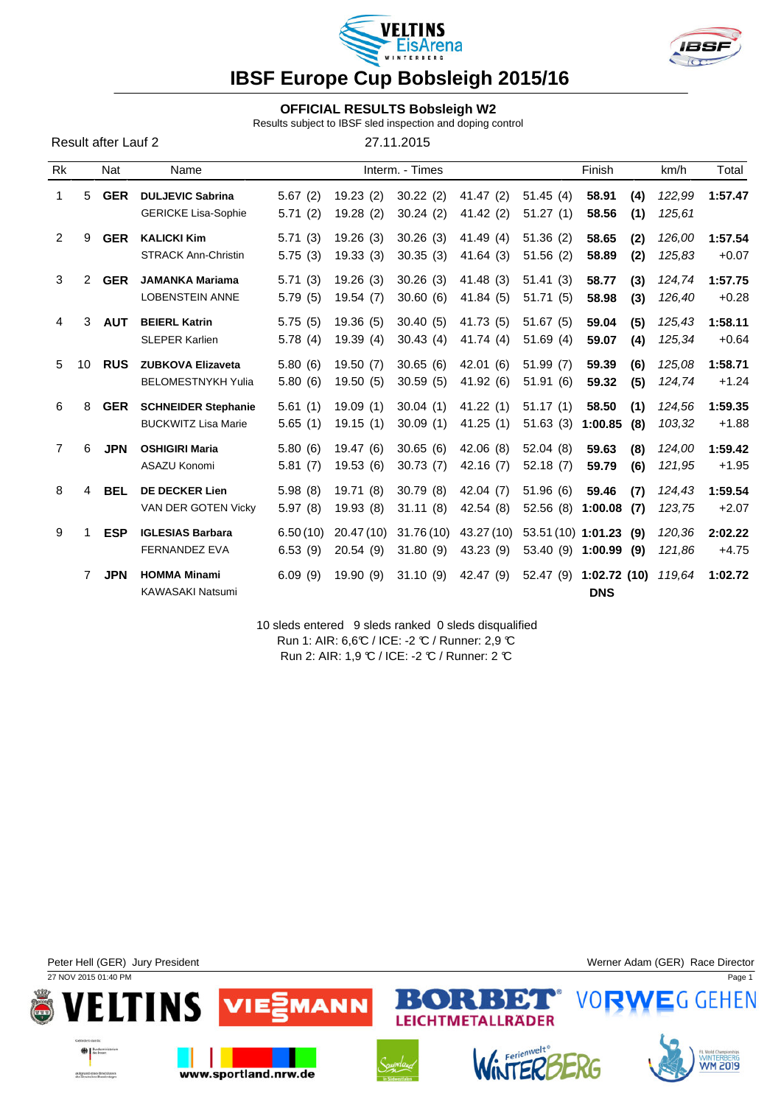



### **OFFICIAL RESULTS Bobsleigh W2**

Results subject to IBSF sled inspection and doping control

Result after Lauf 2 27.11.2015

| Rk             |                       | Nat        | Name                                                     |                     |                        | Interm. - Times       |                         |                                | Finish                         | km/h             | Total              |
|----------------|-----------------------|------------|----------------------------------------------------------|---------------------|------------------------|-----------------------|-------------------------|--------------------------------|--------------------------------|------------------|--------------------|
| 1              | 5                     | <b>GER</b> | <b>DULJEVIC Sabrina</b><br><b>GERICKE Lisa-Sophie</b>    | 5.67(2)<br>5.71(2)  | 19.23(2)<br>19.28(2)   | 30.22(2)<br>30.24(2)  | 41.47(2)<br>41.42(2)    | 51.45(4)<br>51.27(1)           | 58.91<br>(4)<br>58.56<br>(1)   | 122,99<br>125,61 | 1:57.47            |
| $\overline{2}$ | 9                     | <b>GER</b> | <b>KALICKI Kim</b><br><b>STRACK Ann-Christin</b>         | 5.71(3)<br>5.75(3)  | 19.26(3)<br>19.33(3)   | 30.26(3)<br>30.35(3)  | 41.49 (4)<br>41.64(3)   | 51.36(2)<br>51.56(2)           | 58.65<br>(2)<br>58.89<br>(2)   | 126,00<br>125,83 | 1:57.54<br>$+0.07$ |
| 3              | $\mathbf{2}^{\prime}$ | <b>GER</b> | <b>JAMANKA Mariama</b><br><b>LOBENSTEIN ANNE</b>         | 5.71(3)<br>5.79(5)  | 19.26(3)<br>19.54(7)   | 30.26(3)<br>30.60(6)  | 41.48 (3)<br>41.84(5)   | 51.41(3)<br>51.71(5)           | 58.77<br>(3)<br>58.98<br>(3)   | 124,74<br>126,40 | 1:57.75<br>$+0.28$ |
| 4              | 3                     | <b>AUT</b> | <b>BEIERL Katrin</b><br><b>SLEPER Karlien</b>            | 5.75(5)<br>5.78(4)  | 19.36(5)<br>19.39(4)   | 30.40(5)<br>30.43(4)  | 41.73 (5)<br>41.74(4)   | 51.67(5)<br>51.69(4)           | 59.04<br>(5)<br>(4)<br>59.07   | 125,43<br>125,34 | 1:58.11<br>$+0.64$ |
| 5              | 10                    | <b>RUS</b> | <b>ZUBKOVA Elizaveta</b><br><b>BELOMESTNYKH Yulia</b>    | 5.80(6)<br>5.80(6)  | 19.50(7)<br>19.50(5)   | 30.65(6)<br>30.59(5)  | 42.01 (6)<br>41.92 (6)  | 51.99(7)<br>51.91(6)           | 59.39<br>(6)<br>59.32<br>(5)   | 125,08<br>124,74 | 1:58.71<br>$+1.24$ |
| 6              | 8                     | <b>GER</b> | <b>SCHNEIDER Stephanie</b><br><b>BUCKWITZ Lisa Marie</b> | 5.61(1)<br>5.65(1)  | 19.09(1)<br>19.15(1)   | 30.04(1)<br>30.09(1)  | 41.22(1)<br>41.25(1)    | 51.17(1)<br>51.63(3)           | (1)<br>58.50<br>1:00.85<br>(8) | 124,56<br>103,32 | 1:59.35<br>$+1.88$ |
| $\overline{7}$ | 6                     | <b>JPN</b> | <b>OSHIGIRI Maria</b><br>ASAZU Konomi                    | 5.80(6)<br>5.81(7)  | 19.47(6)<br>19.53(6)   | 30.65(6)<br>30.73(7)  | 42.06(8)<br>42.16 (7)   | 52.04(8)<br>52.18(7)           | 59.63<br>(8)<br>59.79<br>(6)   | 124,00<br>121,95 | 1:59.42<br>$+1.95$ |
| 8              | 4                     | <b>BEL</b> | <b>DE DECKER Lien</b><br>VAN DER GOTEN Vicky             | 5.98(8)<br>5.97(8)  | 19.71(8)<br>19.93(8)   | 30.79(8)<br>31.11(8)  | 42.04 (7)<br>42.54 (8)  | 51.96(6)<br>52.56(8)           | 59.46<br>(7)<br>1:00.08<br>(7) | 124,43<br>123,75 | 1:59.54<br>$+2.07$ |
| 9              |                       | <b>ESP</b> | <b>IGLESIAS Barbara</b><br><b>FERNANDEZ EVA</b>          | 6.50(10)<br>6.53(9) | 20.47 (10)<br>20.54(9) | 31.76(10)<br>31.80(9) | 43.27 (10)<br>43.23 (9) | 53.51 (10) 1:01.23<br>53.40(9) | (9)<br>1:00.99<br>(9)          | 120,36<br>121,86 | 2:02.22<br>$+4.75$ |
|                | 7                     | <b>JPN</b> | <b>HOMMA Minami</b><br><b>KAWASAKI Natsumi</b>           | 6.09(9)             | 19.90(9)               | 31.10(9)              | 42.47 (9)               | 52.47(9)                       | 1:02.72(10)<br><b>DNS</b>      | 119,64           | 1:02.72            |

10 sleds entered 9 sleds ranked 0 sleds disqualified Run 1: AIR: 6,6°C / ICE: -2 °C / Runner: 2,9 °C Run 2: AIR: 1,9 ℃ / ICE: -2 ℃ / Runner: 2 ℃

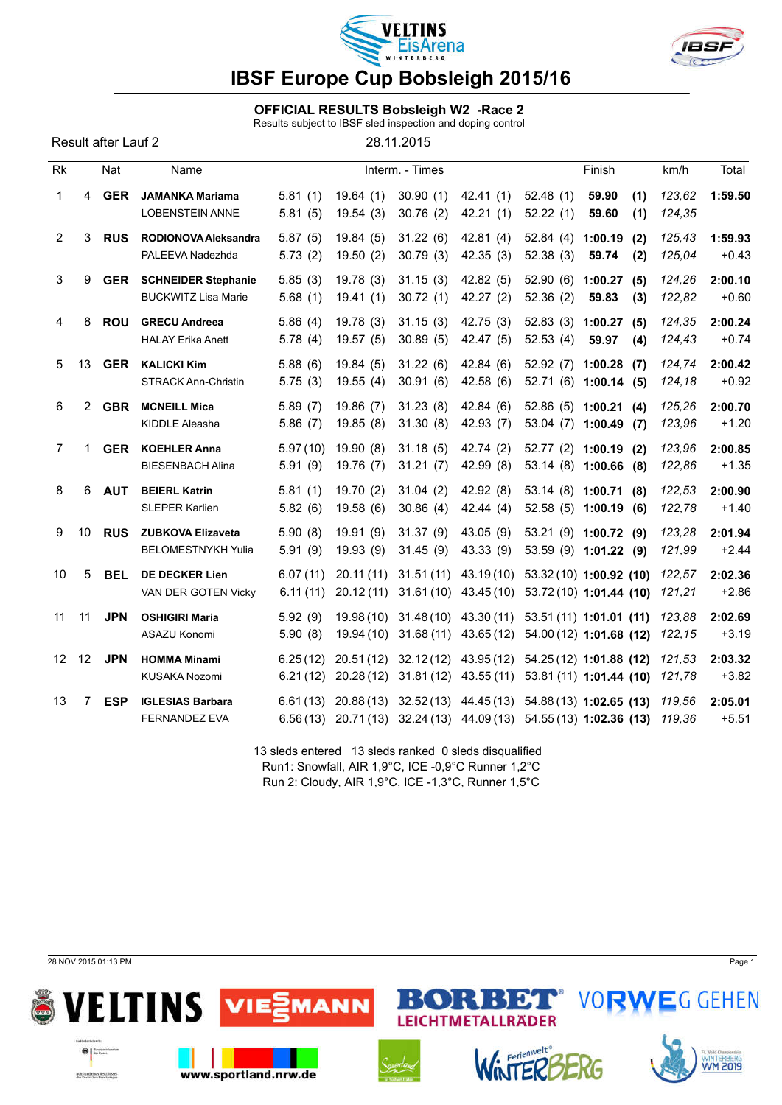



### OFFICIAL RESULTS Bobsleigh W2 -Race 2

Results subject to IBSF sled inspection and doping control

28.11.2015

| Rk              |                   | Nat        | Name                                                     |                      |                        | Interm. - Times       |                                               | Finish                                 |                                                                                                                      |                  | Total              |
|-----------------|-------------------|------------|----------------------------------------------------------|----------------------|------------------------|-----------------------|-----------------------------------------------|----------------------------------------|----------------------------------------------------------------------------------------------------------------------|------------------|--------------------|
| 1               | 4                 | <b>GER</b> | <b>JAMANKA Mariama</b><br><b>LOBENSTEIN ANNE</b>         | 5.81(1)<br>5.81(5)   | 19.64(1)<br>19.54(3)   | 30.90(1)<br>30.76(2)  | 42.41(1)<br>42.21(1)                          | 52.48(1)<br>52.22(1)                   | 59.90<br>(1)                                                                                                         | 123,62<br>124,35 | 1:59.50            |
| 2               | 3                 | <b>RUS</b> | RODIONOVA Aleksandra<br>PALEEVA Nadezhda                 | 5.87(5)<br>5.73(2)   | 19.84(5)<br>19.50(2)   | 31.22(6)<br>30.79(3)  | 42.81(4)<br>42.35(3)                          | 52.84(4)<br>52.38(3)                   | 59.60<br>(1)<br>1:00.19<br>(2)<br>59.74<br>(2)                                                                       | 125,43<br>125,04 | 1:59.93<br>$+0.43$ |
| 3               | 9                 | <b>GER</b> | <b>SCHNEIDER Stephanie</b><br><b>BUCKWITZ Lisa Marie</b> | 5.85(3)<br>5.68(1)   | 19.78(3)<br>19.41(1)   | 31.15(3)<br>30.72(1)  | 42.82(5)<br>42.27 (2)                         | 52.90(6)<br>52.36(2)                   | 1:00.27<br>(5)<br>59.83<br>(3)                                                                                       | 124.26<br>122,82 | 2:00.10<br>$+0.60$ |
| 4               | 8                 | <b>ROU</b> | <b>GRECU Andreea</b><br><b>HALAY Erika Anett</b>         | 5.86(4)<br>5.78(4)   | 19.78(3)<br>19.57(5)   | 31.15(3)<br>30.89(5)  | 42.75 (3)<br>42.47 (5)                        | 52.83(3)<br>52.53(4)                   | 1:00.27<br>(5)<br>59.97<br>(4)                                                                                       | 124,35<br>124,43 | 2:00.24<br>$+0.74$ |
| 5               | 13                | <b>GER</b> | <b>KALICKI Kim</b><br><b>STRACK Ann-Christin</b>         | 5.88(6)<br>5.75(3)   | 19.84(5)<br>19.55(4)   | 31.22(6)<br>30.91(6)  | 42.84 (6)<br>42.58(6)                         | 52.92(7)                               | 1:00.28<br>(7)<br>52.71 (6) 1:00.14 (5)                                                                              | 124,74<br>124,18 | 2:00.42<br>$+0.92$ |
| 6               | $\overline{2}$    | <b>GBR</b> | <b>MCNEILL Mica</b><br>KIDDLE Aleasha                    | 5.89(7)<br>5.86(7)   | 19.86(7)<br>19.85(8)   | 31.23(8)<br>31.30(8)  | 42.84(6)<br>42.93 (7)                         | 53.04 (7) 1:00.49                      | 52.86 (5) 1:00.21 (4)<br>(7)                                                                                         | 125,26<br>123,96 | 2:00.70<br>$+1.20$ |
| 7               | 1                 | <b>GER</b> | <b>KOEHLER Anna</b><br><b>BIESENBACH Alina</b>           | 5.97(10)<br>5.91(9)  | 19.90(8)<br>19.76(7)   | 31.18(5)<br>31.21(7)  | 42.74 (2)<br>42.99 (8)                        | 52.77 (2) 1:00.19                      | (2)<br>53.14 (8) 1:00.66 (8)                                                                                         | 123,96<br>122,86 | 2:00.85<br>$+1.35$ |
| 8               | 6                 | <b>AUT</b> | <b>BEIERL Katrin</b><br>SLEPER Karlien                   | 5.81(1)<br>5.82(6)   | 19.70(2)<br>19.58(6)   | 31.04(2)<br>30.86(4)  | 42.92 (8)<br>42.44 (4)                        | 53.14 (8) 1:00.71<br>52.58 (5) 1:00.19 | (8)<br>(6)                                                                                                           | 122,53<br>122,78 | 2:00.90<br>$+1.40$ |
| 9               | 10                | <b>RUS</b> | <b>ZUBKOVA Elizaveta</b><br><b>BELOMESTNYKH Yulia</b>    | 5.90(8)<br>5.91(9)   | 19.91(9)<br>19.93(9)   | 31.37(9)<br>31.45(9)  | 43.05(9)<br>43.33 (9)                         |                                        | 53.21 (9) 1:00.72 (9)<br>$53.59(9)$ 1:01.22 (9)                                                                      | 123,28<br>121,99 | 2:01.94<br>$+2.44$ |
| 10              | 5                 | <b>BEL</b> | <b>DE DECKER Lien</b><br>VAN DER GOTEN Vicky             | 6.07(11)<br>6.11(11) | 20.11(11)<br>20.12(11) | 31.51(11)             | 43.19 (10)<br>$31.61(10)$ 43.45(10)           |                                        | 53.32 (10) 1:00.92 (10)<br>53.72 (10) 1:01.44 (10)                                                                   | 122,57<br>121,21 | 2:02.36<br>$+2.86$ |
| 11              | 11                | <b>JPN</b> | <b>OSHIGIRI Maria</b><br>ASAZU Konomi                    | 5.92(9)<br>5.90(8)   | 19.94 (10)             | 31.68(11)             | 19.98 (10) 31.48 (10) 43.30 (11)<br>43.65(12) |                                        | $53.51(11)$ 1:01.01 (11)<br>$54.00(12)$ 1:01.68 (12)                                                                 | 123,88<br>122,15 | 2:02.69<br>$+3.19$ |
| 12 <sup>°</sup> | $12 \overline{ }$ | <b>JPN</b> | <b>HOMMA Minami</b><br>KUSAKA Nozomi                     | 6.25(12)<br>6.21(12) | 20.28(12)              | 20.51 (12) 32.12 (12) | 43.95 (12)<br>31.81 (12) 43.55 (11)           |                                        | 54.25 (12) 1:01.88 (12)<br>53.81 (11) 1:01.44 (10)                                                                   | 121,53<br>121,78 | 2:03.32<br>$+3.82$ |
| 13              | 7                 | <b>ESP</b> | <b>IGLESIAS Barbara</b><br><b>FERNANDEZ EVA</b>          | 6.61(13)<br>6.56(13) |                        |                       |                                               |                                        | 20.88 (13) 32.52 (13) 44.45 (13) 54.88 (13) 1:02.65 (13)<br>20.71 (13) 32.24 (13) 44.09 (13) 54.55 (13) 1:02.36 (13) | 119.56<br>119,36 | 2:05.01<br>$+5.51$ |

13 sleds entered 13 sleds ranked 0 sleds disqualified Run1: Snowfall, AIR 1,9°C, ICE -0,9°C Runner 1,2°C Run 2: Cloudy, AIR 1,9°C, ICE -1,3°C, Runner 1,5°C

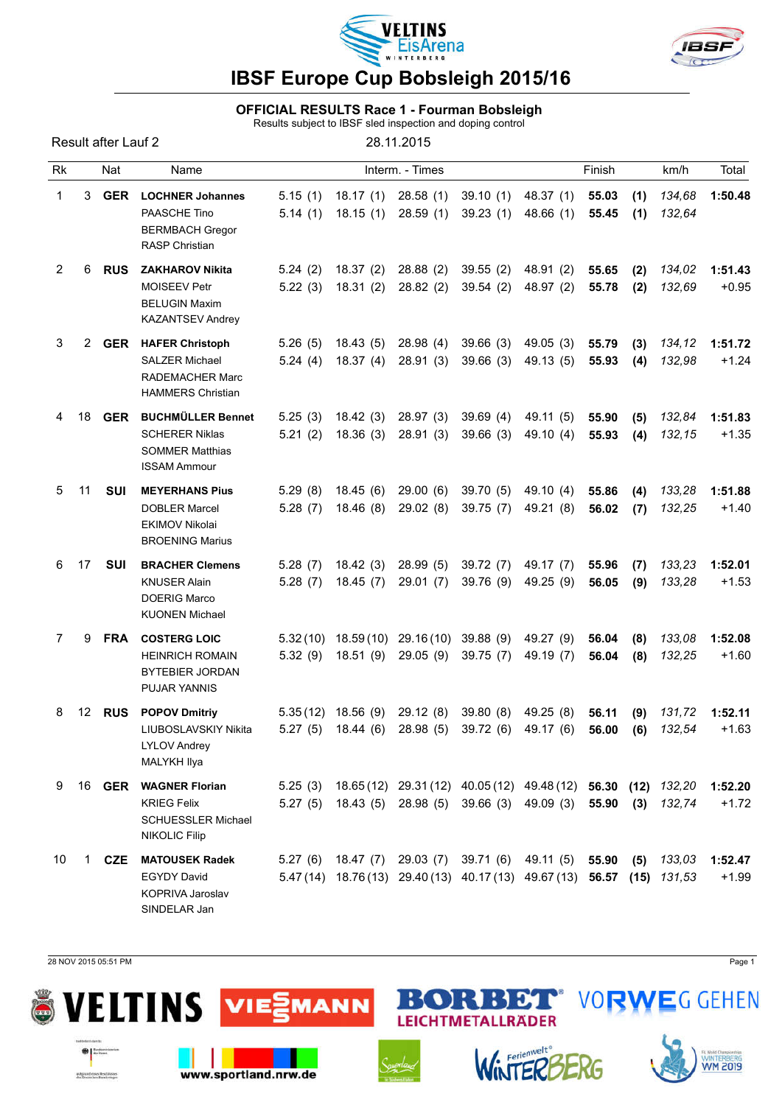



#### OFFICIAL RESULTS Race 1 - Fourman Bobsleigh

Results subject to IBSF sled inspection and doping control

Result after Lauf 2 28.11.2015 Rk Nat Name Interm. - Times Champel Prinish km/h Total 1 3 GER LOCHNER Johannes 5.15 (1) 18.17 (1) 28.58 (1) 39.10 (1) 48.37 (1) 55.03 (1) *134,68* 1:50.48 PAASCHE Tino 5.14 (1) 18.15 (1) 28.59 (1) 39.23 (1) 48.66 (1) 55.45 (1) *132,64* BERMBACH Gregor RASP Christian 2 6 RUS ZAKHAROV Nikita 5.24 (2) 18.37 (2) 28.88 (2) 39.55 (2) 48.91 (2) 55.65 (2) *134,02* 1:51.43 MOISEEV Petr 5.22 (3) 18.31 (2) 28.82 (2) 39.54 (2) 48.97 (2) 55.78 (2) *132,69* +0.95 BELUGIN Maxim KAZANTSEV Andrey 3 2 GER HAFER Christoph 5.26 (5) 18.43 (5) 28.98 (4) 39.66 (3) 49.05 (3) 55.79 (3) *134,12* 1:51.72 SALZER Michael 5.24 (4) 18.37 (4) 28.91 (3) 39.66 (3) 49.13 (5) 55.93 (4) *132,98* +1.24 RADEMACHER Marc HAMMERS Christian 4 18 GER BUCHMÜLLER Bennet 5.25 (3) 18.42 (3) 28.97 (3) 39.69 (4) 49.11 (5) 55.90 (5) *132,84* 1:51.83 SCHERER Niklas 5.21 (2) 18.36 (3) 28.91 (3) 39.66 (3) 49.10 (4) 55.93 (4) *132,15* +1.35 SOMMER Matthias ISSAM Ammour 5 11 SUI MEYERHANS Pius 5.29 (8) 18.45 (6) 29.00 (6) 39.70 (5) 49.10 (4) 55.86 (4) *133,28* 1:51.88 DOBLER Marcel 5.28 (7) 18.46 (8) 29.02 (8) 39.75 (7) 49.21 (8) 56.02 (7) *132,25* +1.40 EKIMOV Nikolai BROENING Marius 6 17 SUI BRACHER Clemens 5.28 (7) 18.42 (3) 28.99 (5) 39.72 (7) 49.17 (7) 55.96 (7) *133,23* 1:52.01 KNUSER Alain 5.28 (7) 18.45 (7) 29.01 (7) 39.76 (9) 49.25 (9) 56.05 (9) *133,28* +1.53 DOERIG Marco KUONEN Michael 7 9 FRA COSTERG LOIC 5.32 (10) 18.59 (10) 29.16 (10) 39.88 (9) 49.27 (9) 56.04 (8) *133,08* 1:52.08 HEINRICH ROMAIN 5.32 (9) 18.51 (9) 29.05 (9) 39.75 (7) 49.19 (7) 56.04 (8) *132,25* +1.60 BYTEBIER JORDAN PUJAR YANNIS 8 12 RUS POPOV Dmitriy 5.35 (12) 18.56 (9) 29.12 (8) 39.80 (8) 49.25 (8) 56.11 (9) *131,72* 1:52.11 LIUBOSLAVSKIY Nikita 5.27 (5) 18.44 (6) 28.98 (5) 39.72 (6) 49.17 (6) 56.00 (6) *132,54* +1.63 LYLOV Andrey MALYKH Ilya 9 16 GER WAGNER Florian 5.25 (3) 18.65 (12) 29.31 (12) 40.05 (12) 49.48 (12) 56.30 (12) *132,20* 1:52.20 KRIEG Felix 5.27 (5) 18.43 (5) 28.98 (5) 39.66 (3) 49.09 (3) 55.90 (3) *132,74* +1.72 SCHUESSLER Michael NIKOLIC Filip 10 1 CZE MATOUSEK Radek 5.27 (6) 18.47 (7) 29.03 (7) 39.71 (6) 49.11 (5) 55.90 (5) *133,03* 1:52.47 EGYDY David 5.47 (14) 18.76 (13) 29.40 (13) 40.17 (13) 49.67 (13) 56.57 (15) *131,53* +1.99 KOPRIVA Jaroslav SINDELAR Jan

28 NOV 2015 05:51 PM Page 1

 $0155$ 

extgrand cises leschisses

**ITINS** 





www.sportland.nrw.de



E CO

÷

LEICHTMETALLRÄDER

Н



Đ.



**VORWEGGEHEN**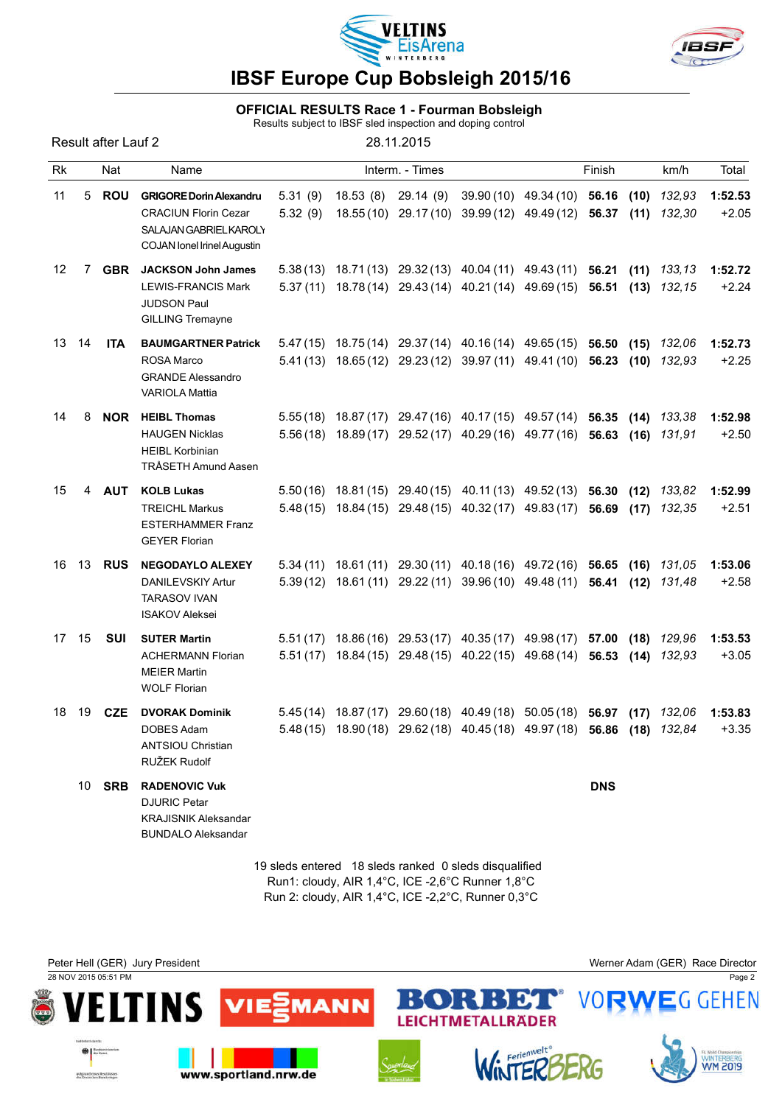



#### OFFICIAL RESULTS Race 1 - Fourman Bobsleigh

Results subject to IBSF sled inspection and doping control

| Result after Lauf 2 |     |      | 28.11.2015      |        |      |      |  |  |  |  |  |
|---------------------|-----|------|-----------------|--------|------|------|--|--|--|--|--|
| Rk                  | Nat | Name | Interm. - Times | Finish | km/h | Tota |  |  |  |  |  |
|                     |     |      |                 |        |      |      |  |  |  |  |  |

| 11    | 5  | ROU              | <b>GRIGORE Dorin Alexandru</b><br><b>CRACIUN Florin Cezar</b><br><b>SALAJAN GABRIEL KAROLY</b><br><b>COJAN lonel Irinel Augustin</b> | 5.31(9)<br>5.32(9) | 18.53 (8) 29.14 (9) | 39.90 (10) 49.34 (10) 56.16 (10) 132,93<br>18.55 (10) 29.17 (10) 39.99 (12) 49.49 (12) 56.37                                                       |            | $(11)$ 132,30 | 1:52.53<br>$+2.05$ |
|-------|----|------------------|--------------------------------------------------------------------------------------------------------------------------------------|--------------------|---------------------|----------------------------------------------------------------------------------------------------------------------------------------------------|------------|---------------|--------------------|
| 12    | 7  | <b>GBR</b>       | <b>JACKSON John James</b><br><b>LEWIS-FRANCIS Mark</b><br><b>JUDSON Paul</b><br><b>GILLING Tremayne</b>                              |                    |                     | 5.38(13) 18.71(13) 29.32(13) 40.04(11) 49.43(11) 56.21 (11) 133,13<br>5.37 (11) 18.78 (14) 29.43 (14) 40.21 (14) 49.69 (15) 56.51 (13) 132,15      |            |               | 1:52.72<br>$+2.24$ |
| 13    | 14 | <b>ITA</b>       | <b>BAUMGARTNER Patrick</b><br><b>ROSA Marco</b><br><b>GRANDE Alessandro</b><br><b>VARIOLA Mattia</b>                                 |                    |                     | 5.47 (15) 18.75 (14) 29.37 (14) 40.16 (14) 49.65 (15) 56.50<br>5.41 (13) 18.65 (12) 29.23 (12) 39.97 (11) 49.41 (10) 56.23 (10) 132,93             |            | $(15)$ 132,06 | 1:52.73<br>$+2.25$ |
| 14    | 8  | <b>NOR</b>       | <b>HEIBL Thomas</b><br><b>HAUGEN Nicklas</b><br><b>HEIBL Korbinian</b><br>TRÅSETH Amund Aasen                                        |                    |                     | 5.55 (18) 18.87 (17) 29.47 (16) 40.17 (15) 49.57 (14) 56.35 (14) 133,38<br>5.56(18) 18.89(17) 29.52(17) 40.29(16) 49.77(16) 56.63 (16) 131,91      |            |               | 1:52.98<br>$+2.50$ |
| 15    | 4  | <b>AUT</b>       | <b>KOLB Lukas</b><br><b>TREICHL Markus</b><br><b>ESTERHAMMER Franz</b><br><b>GEYER Florian</b>                                       |                    |                     | 5.50 (16) 18.81 (15) 29.40 (15) 40.11 (13) 49.52 (13) 56.30 (12) 133,82<br>5.48 (15) 18.84 (15) 29.48 (15) 40.32 (17) 49.83 (17) 56.69             |            | $(17)$ 132,35 | 1:52.99<br>$+2.51$ |
|       |    | 16 13 <b>RUS</b> | <b>NEGODAYLO ALEXEY</b><br>DANILEVSKIY Artur<br><b>TARASOV IVAN</b><br><b>ISAKOV Aleksei</b>                                         |                    |                     | 5.34 (11) 18.61 (11) 29.30 (11) 40.18 (16) 49.72 (16) 56.65 (16) 131,05<br>5.39(12) 18.61(11) 29.22(11) 39.96(10) 49.48(11) 56.41 (12) 131,48      |            |               | 1:53.06<br>$+2.58$ |
| 17 15 |    | <b>SUI</b>       | <b>SUTER Martin</b><br><b>ACHERMANN Florian</b><br><b>MEIER Martin</b><br><b>WOLF Florian</b>                                        |                    |                     | 5.51 (17) 18.86 (16) 29.53 (17) 40.35 (17) 49.98 (17) 57.00 (18) 129,96<br>5.51 (17) 18.84 (15) 29.48 (15) 40.22 (15) 49.68 (14) 56.53 (14) 132,93 |            |               | 1:53.53<br>$+3.05$ |
| 18    | 19 | <b>CZE</b>       | <b>DVORAK Dominik</b><br><b>DOBES Adam</b><br><b>ANTSIOU Christian</b><br>RUŽEK Rudolf                                               |                    |                     | 5.45(14) 18.87(17) 29.60(18) 40.49(18) 50.05(18) 56.97 (17) 132,06<br>5.48 (15) 18.90 (18) 29.62 (18) 40.45 (18) 49.97 (18) 56.86 (18) 132,84      |            |               | 1:53.83<br>$+3.35$ |
|       | 10 | <b>SRB</b>       | <b>RADENOVIC Vuk</b><br><b>DJURIC Petar</b><br><b>KRAJISNIK Aleksandar</b><br><b>BUNDALO Aleksandar</b>                              |                    |                     |                                                                                                                                                    | <b>DNS</b> |               |                    |

19 sleds entered 18 sleds ranked 0 sleds disqualified Run1: cloudy, AIR 1,4°C, ICE -2,6°C Runner 1,8°C Run 2: cloudy, AIR 1,4°C, ICE -2,2°C, Runner 0,3°C

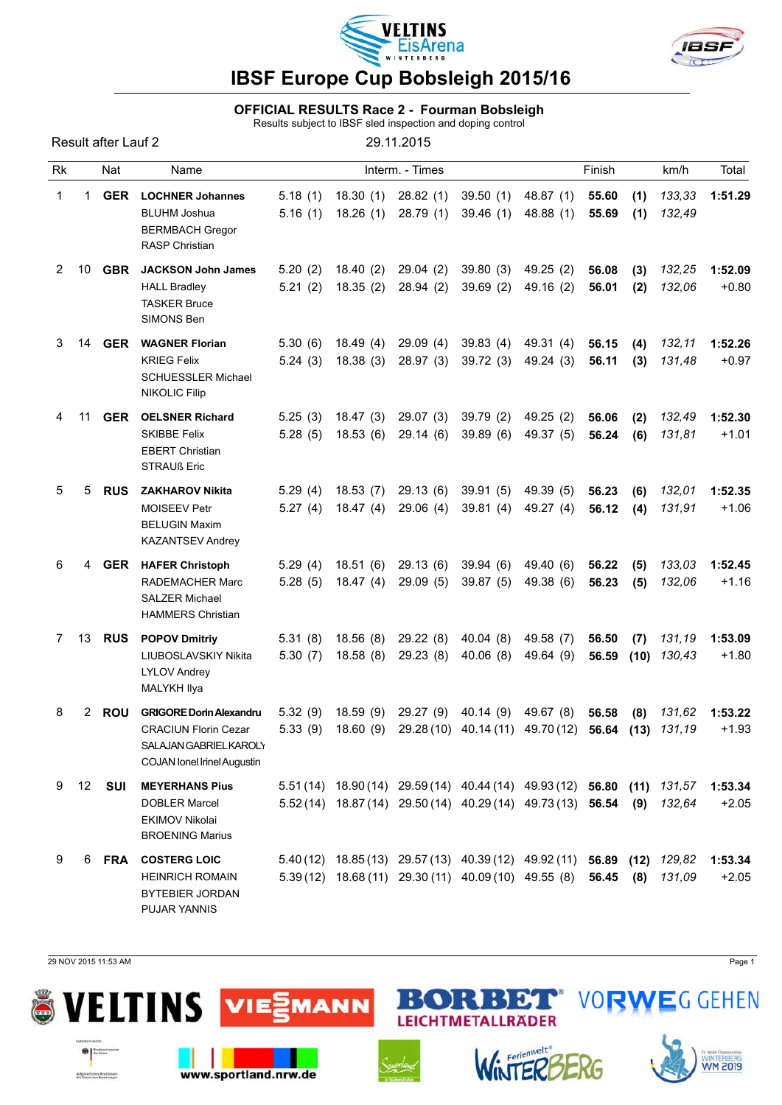



#### OFFICIAL RESULTS Race 2 - Fourman Bobsleigh

Results subject to IBSF sled inspection and doping control

|             |    | Result after Lauf 2 |                                                                                                                               |                    |                      | 29.11.2015                                                                                                                           |                      |                        |                |             |                  |                    |
|-------------|----|---------------------|-------------------------------------------------------------------------------------------------------------------------------|--------------------|----------------------|--------------------------------------------------------------------------------------------------------------------------------------|----------------------|------------------------|----------------|-------------|------------------|--------------------|
| Rk          |    | Nat                 | Name                                                                                                                          |                    |                      | Interm. - Times                                                                                                                      |                      |                        | Finish         |             | km/h             | Total              |
| 1           | 1. | <b>GER</b>          | <b>LOCHNER Johannes</b><br><b>BLUHM Joshua</b><br><b>BERMBACH Gregor</b><br><b>RASP Christian</b>                             | 5.18(1)<br>5.16(1) | 18.30(1)<br>18.26(1) | 28.82(1)<br>28.79(1)                                                                                                                 | 39.50(1)<br>39.46(1) | 48.87 (1)<br>48.88 (1) | 55.60<br>55.69 | (1)<br>(1)  | 133,33<br>132,49 | 1:51.29            |
| 2           | 10 | <b>GBR</b>          | <b>JACKSON John James</b><br><b>HALL Bradley</b><br><b>TASKER Bruce</b><br>SIMONS Ben                                         | 5.20(2)<br>5.21(2) | 18.40(2)<br>18.35(2) | 29.04(2)<br>28.94(2)                                                                                                                 | 39.80(3)<br>39.69(2) | 49.25(2)<br>49.16 (2)  | 56.08<br>56.01 | (3)<br>(2)  | 132,25<br>132,06 | 1:52.09<br>$+0.80$ |
| 3           | 14 |                     | <b>GER</b> WAGNER Florian<br><b>KRIEG Felix</b><br><b>SCHUESSLER Michael</b><br><b>NIKOLIC Filip</b>                          | 5.30(6)<br>5.24(3) | 18.49(4)<br>18.38(3) | 29.09(4)<br>28.97(3)                                                                                                                 | 39.83(4)<br>39.72(3) | 49.31 (4)<br>49.24 (3) | 56.15<br>56.11 | (4)<br>(3)  | 132,11<br>131,48 | 1:52.26<br>$+0.97$ |
| 4           | 11 | <b>GER</b>          | <b>OELSNER Richard</b><br><b>SKIBBE Felix</b><br><b>EBERT Christian</b><br><b>STRAUß Eric</b>                                 | 5.25(3)<br>5.28(5) | 18.47(3)<br>18.53(6) | 29.07(3)<br>29.14(6)                                                                                                                 | 39.79(2)<br>39.89(6) | 49.25(2)<br>49.37 (5)  | 56.06<br>56.24 | (2)<br>(6)  | 132,49<br>131,81 | 1:52.30<br>$+1.01$ |
| 5           | 5  | <b>RUS</b>          | <b>ZAKHAROV Nikita</b><br>MOISEEV Petr<br><b>BELUGIN Maxim</b><br><b>KAZANTSEV Andrey</b>                                     | 5.29(4)<br>5.27(4) | 18.53(7)<br>18.47(4) | 29.13(6)<br>29.06(4)                                                                                                                 | 39.91(5)<br>39.81(4) | 49.39 (5)<br>49.27 (4) | 56.23<br>56.12 | (6)<br>(4)  | 132,01<br>131,91 | 1:52.35<br>$+1.06$ |
| 6           | 4  |                     | <b>GER</b> HAFER Christoph<br>RADEMACHER Marc<br><b>SALZER Michael</b><br><b>HAMMERS Christian</b>                            | 5.29(4)<br>5.28(5) | 18.51(6)<br>18.47(4) | 29.13(6)<br>29.09(5)                                                                                                                 | 39.94(6)<br>39.87(5) | 49.40 (6)<br>49.38 (6) | 56.22<br>56.23 | (5)<br>(5)  | 133,03<br>132,06 | 1:52.45<br>$+1.16$ |
| $7^{\circ}$ | 13 |                     | <b>RUS</b> POPOV Dmitriy<br>LIUBOSLAVSKIY Nikita<br><b>LYLOV Andrey</b><br>MALYKH Ilya                                        | 5.31(8)<br>5.30(7) | 18.56(8)<br>18.58(8) | 29.22(8)<br>29.23(8)                                                                                                                 | 40.04(8)<br>40.06(8) | 49.58 (7)<br>49.64 (9) | 56.50<br>56.59 | (7)<br>(10) | 131,19<br>130,43 | 1:53.09<br>$+1.80$ |
| 8           | 2  | <b>ROU</b>          | <b>GRIGORE Dorin Alexandru</b><br><b>CRACIUN Florin Cezar</b><br>SALAJAN GABRIEL KAROLY<br><b>COJAN lonel Irinel Augustin</b> | 5.32(9)            | 18.59(9)             | 29.27 (9)<br>5.33 (9) 18.60 (9) 29.28 (10) 40.14 (11) 49.70 (12) 56.64 (13) 131,19                                                   | 40.14 (9)            | 49.67 (8)              | 56.58          | (8)         | 131,62           | 1:53.22<br>$+1.93$ |
| 9           | 12 | <b>SUI</b>          | <b>MEYERHANS Pius</b><br><b>DOBLER Marcel</b><br><b>EKIMOV Nikolai</b><br><b>BROENING Marius</b>                              |                    |                      | $5.51(14)$ 18.90(14) 29.59(14) 40.44(14) 49.93(12) 56.80 (11)<br>5.52 (14) 18.87 (14) 29.50 (14) 40.29 (14) 49.73 (13) 56.54         |                      |                        |                | (9)         | 131,57<br>132,64 | 1:53.34<br>$+2.05$ |
| 9           | 6  |                     | <b>FRA COSTERG LOIC</b><br><b>HEINRICH ROMAIN</b><br><b>BYTEBIER JORDAN</b><br>PUJAR YANNIS                                   |                    |                      | 5.40 (12) 18.85 (13) 29.57 (13) 40.39 (12) 49.92 (11) 56.89 (12) 129,82<br>$5.39(12)$ $18.68(11)$ $29.30(11)$ $40.09(10)$ $49.55(8)$ |                      |                        | 56.45          | (8)         | 131,09           | 1:53.34<br>$+2.05$ |

29 NOV 2015 11:53 AM Page 1

autgrund eines Reschiussen<br>des Deutschen Barnbeinger

 $\lfloor \rfloor$ 



L.



www.sportland.nrw.de



÷

 $\bullet$ ٦



BET

R

LEICHTMETALLRÄDER



**VORWEG GEHEN**